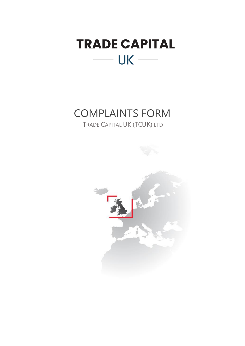

## COMPLAINTS FORM

TRADE CAPITAL UK (TCUK) LTD

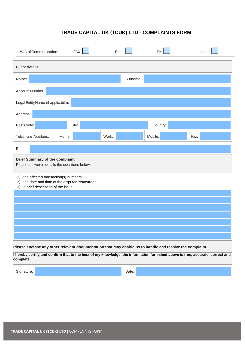## **TRADE CAPITAL UK (TCUK) LTD - COMPLAINTS FORM**

| Way of Communication:                                                                                                                         |       | FAX   | Email |          | Tel      | Letter |  |  |
|-----------------------------------------------------------------------------------------------------------------------------------------------|-------|-------|-------|----------|----------|--------|--|--|
| Client details                                                                                                                                |       |       |       |          |          |        |  |  |
| Name:                                                                                                                                         |       |       |       | Surname: |          |        |  |  |
| Account Number:                                                                                                                               |       |       |       |          |          |        |  |  |
| Legal Entity Name (if applicable):                                                                                                            |       |       |       |          |          |        |  |  |
| Address:                                                                                                                                      |       |       |       |          |          |        |  |  |
| Post Code:                                                                                                                                    |       | City: |       |          | Country: |        |  |  |
| Telephone Numbers:                                                                                                                            | Home: |       | Work: |          | Mobile:  | Fax:   |  |  |
| Email:                                                                                                                                        |       |       |       |          |          |        |  |  |
| <b>Brief Summary of the complaint</b><br>Please answer in details the questions below:                                                        |       |       |       |          |          |        |  |  |
| the affected transaction(s) numbers;<br>1)<br>the date and time of the disputed issue/trade;<br>2)<br>a brief description of the issue.<br>3) |       |       |       |          |          |        |  |  |
|                                                                                                                                               |       |       |       |          |          |        |  |  |
|                                                                                                                                               |       |       |       |          |          |        |  |  |
|                                                                                                                                               |       |       |       |          |          |        |  |  |
|                                                                                                                                               |       |       |       |          |          |        |  |  |
| Please enclose any other relevant documentation that may enable us to handle and resolve the complaint.                                       |       |       |       |          |          |        |  |  |
| I hereby certify and confirm that to the best of my knowledge, the information furnished above is true, accurate, correct and<br>complete.    |       |       |       |          |          |        |  |  |
| Signature:                                                                                                                                    |       |       |       | Date:    |          |        |  |  |